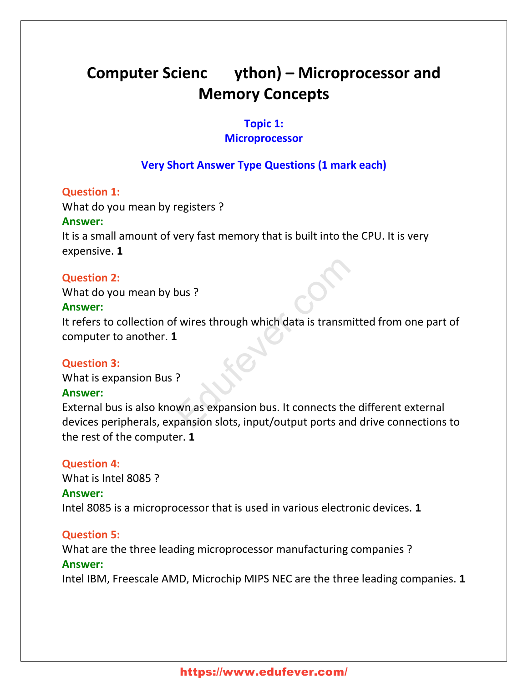# **Computer Scienc ython) – Microprocessor and Memory Concepts**

# **Topic 1:**

# **Microprocessor**

# **Very Short Answer Type Questions (1 mark each)**

# **Question 1:**

What do you mean by registers ?

# **Answer:**

It is a small amount of very fast memory that is built into the CPU. It is very expensive. **1**

# **Question 2:**

What do you mean by bus ?

# **Answer:**

It refers to collection of wires through which data is transmitted from one part of computer to another. **1** Sous ?<br>
Explores through which data is transmitt<br>
Proposed in the connects the commission slots, input/output ports and commission

# **Question 3:**

What is expansion Bus ?

# **Answer:**

External bus is also known as expansion bus. It connects the different external devices peripherals, expansion slots, input/output ports and drive connections to the rest of the computer. **1**

## **Question 4:**

What is Intel 8085 ? **Answer:** Intel 8085 is a microprocessor that is used in various electronic devices. **1**

# **Question 5:**

What are the three leading microprocessor manufacturing companies ? **Answer:**

Intel IBM, Freescale AMD, Microchip MIPS NEC are the three leading companies. **1**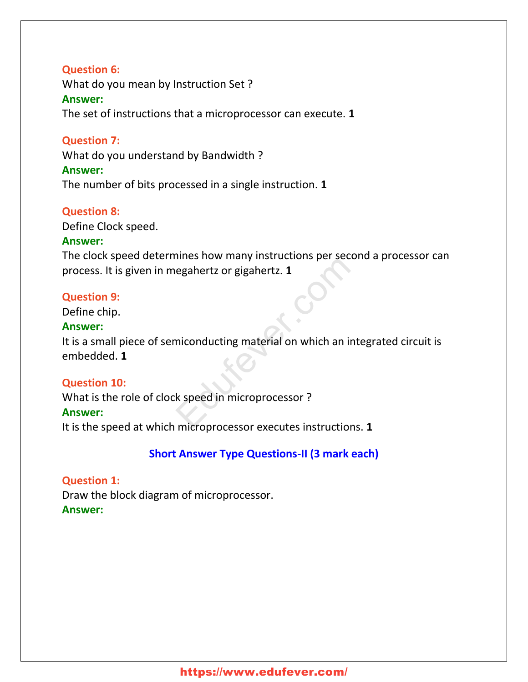## **Question 6:**

What do you mean by Instruction Set ? **Answer:** The set of instructions that a microprocessor can execute. **1**

# **Question 7:**

What do you understand by Bandwidth ?

## **Answer:**

The number of bits processed in a single instruction. **1**

# **Question 8:**

Define Clock speed.

## **Answer:**

The clock speed determines how many instructions per second a processor can process. It is given in megahertz or gigahertz. **1**

## **Question 9:**

Define chip.

## **Answer:**

It is a small piece of semiconducting material on which an integrated circuit is embedded. **1**

## **Question 10:**

What is the role of clock speed in microprocessor ? **Answer:** It is the speed at which microprocessor executes instructions. **1** egahertz or gigahertz. 1<br>
miconducting material on which an inte<br>
k speed in microprocessor ?<br>
microprocessor executes instructions

# **Short Answer Type Questions-II (3 mark each)**

# **Question 1:**

Draw the block diagram of microprocessor. **Answer:**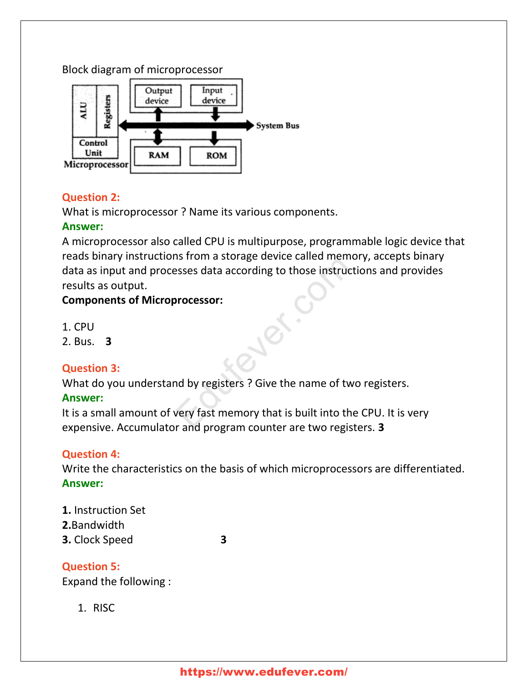# Block diagram of microprocessor



# **Question 2:**

What is microprocessor ? Name its various components.

# **Answer:**

A microprocessor also called CPU is multipurpose, programmable logic device that reads binary instructions from a storage device called memory, accepts binary data as input and processes data according to those instructions and provides results as output. Existent a storage device cancel incrinor<br>
esses data according to those instruction<br>
processor:<br>
Notice the process of the process of the process of the process of the process of the process of the process of the process

# **Components of Microprocessor:**

- 1. CPU
- 2. Bus. **3**

# **Question 3:**

What do you understand by registers ? Give the name of two registers.

# **Answer:**

It is a small amount of very fast memory that is built into the CPU. It is very expensive. Accumulator and program counter are two registers. **3**

# **Question 4:**

Write the characteristics on the basis of which microprocessors are differentiated. **Answer:**

**1.** Instruction Set **2.**Bandwidth **3.** Clock Speed **3**

**Question 5:** Expand the following :

1. RISC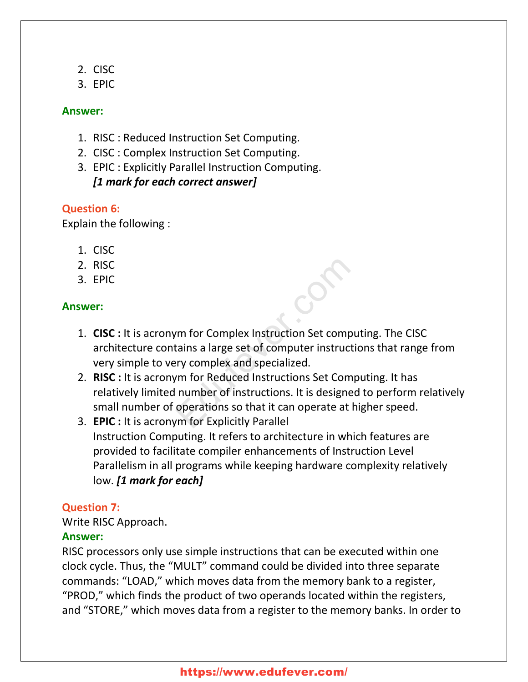- 2. CISC
- 3. EPIC

# **Answer:**

- 1. RISC : Reduced Instruction Set Computing.
- 2. CISC : Complex Instruction Set Computing.
- 3. EPIC : Explicitly Parallel Instruction Computing. *[1 mark for each correct answer]*

# **Question 6:**

Explain the following :

- 1. CISC
- 2. RISC
- 3. EPIC

# **Answer:**

- 1. **CISC :** It is acronym for Complex Instruction Set computing. The CISC architecture contains a large set of computer instructions that range from very simple to very complex and specialized.
- 2. **RISC :** It is acronym for Reduced Instructions Set Computing. It has relatively limited number of instructions. It is designed to perform relatively small number of operations so that it can operate at higher speed. m for Complex Instruction Set comput<br>
tains a large set of computer instruction<br>
ry complex and specialized.<br>
Educed Instructions Set Computer<br>
number of instructions. It is designed<br>
operations so that it can operate at h
- 3. **EPIC :** It is acronym for Explicitly Parallel Instruction Computing. It refers to architecture in which features are provided to facilitate compiler enhancements of Instruction Level Parallelism in all programs while keeping hardware complexity relatively low. *[1 mark for each]*

# **Question 7:**

Write RISC Approach.

# **Answer:**

RISC processors only use simple instructions that can be executed within one clock cycle. Thus, the "MULT" command could be divided into three separate commands: "LOAD," which moves data from the memory bank to a register, "PROD," which finds the product of two operands located within the registers, and "STORE," which moves data from a register to the memory banks. In order to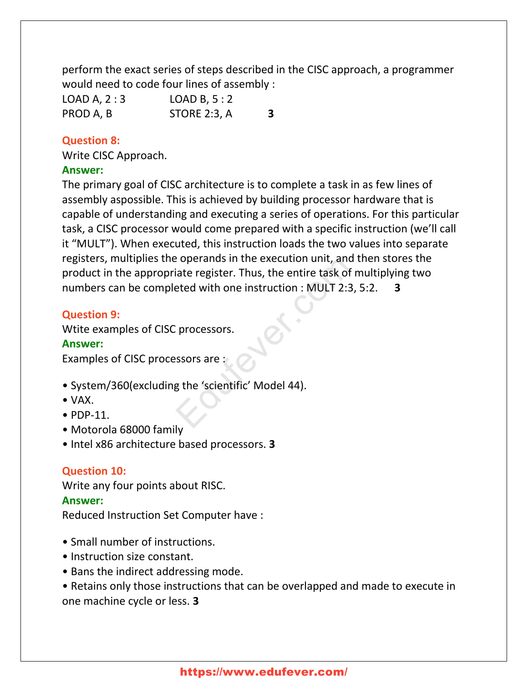perform the exact series of steps described in the CISC approach, a programmer would need to code four lines of assembly :

| LOAD A, 2:3 | LOAD B, 5:2  |   |
|-------------|--------------|---|
| PROD A, B   | STORE 2:3, A | 3 |

# **Question 8:**

Write CISC Approach.

## **Answer:**

The primary goal of CISC architecture is to complete a task in as few lines of assembly aspossible. This is achieved by building processor hardware that is capable of understanding and executing a series of operations. For this particular task, a CISC processor would come prepared with a specific instruction (we'll call it "MULT"). When executed, this instruction loads the two values into separate registers, multiplies the operands in the execution unit, and then stores the product in the appropriate register. Thus, the entire task of multiplying two numbers can be completed with one instruction : MULT 2:3, 5:2. **3** Experimas in the execution unit, and the register. Thus, the entire task of meted with one instruction : MULT 2:3, 5<br>
Expressed with one instruction : MULT 2:3, 5<br>
Expressed in the scientific (Model 44).

# **Question 9:**

Wtite examples of CISC processors.

# **Answer:**

Examples of CISC processors are :

- System/360(excluding the 'scientific' Model 44).
- VAX.
- PDP-11.
- Motorola 68000 family
- Intel x86 architecture based processors. **3**

# **Question 10:**

Write any four points about RISC.

# **Answer:**

Reduced Instruction Set Computer have :

- Small number of instructions.
- Instruction size constant.
- Bans the indirect addressing mode.
- Retains only those instructions that can be overlapped and made to execute in one machine cycle or less. **3**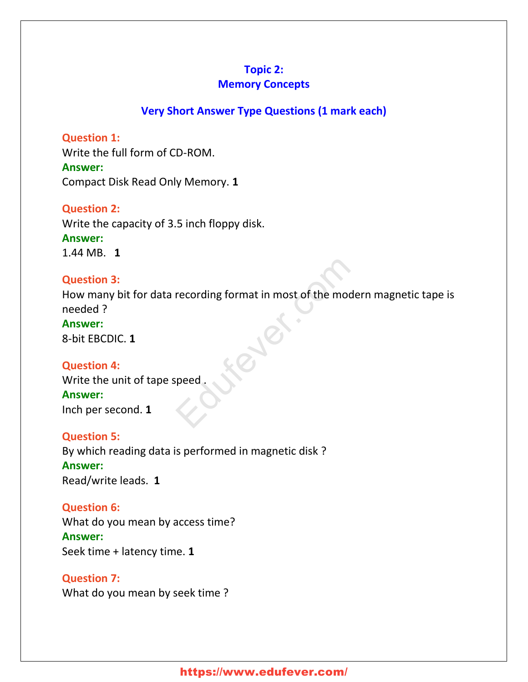# **Topic 2:**

# **Memory Concepts**

# **Very Short Answer Type Questions (1 mark each)**

**Question 1:** Write the full form of CD-ROM. **Answer:** Compact Disk Read Only Memory. **1**

**Question 2:** Write the capacity of 3.5 inch floppy disk. **Answer:** 1.44 MB. **1**

# **Question 3:** How many bit for data recording format in most of the modern magnetic tape is needed ? **Answer:** 8-bit EBCDIC. **1** Fecording format in most of the moder<br>reced.

**Question 4:** Write the unit of tape speed . **Answer:**

Inch per second. **1**

**Question 5:** By which reading data is performed in magnetic disk ? **Answer:** Read/write leads. **1**

**Question 6:** What do you mean by access time? **Answer:** Seek time + latency time. **1**

**Question 7:** What do you mean by seek time ?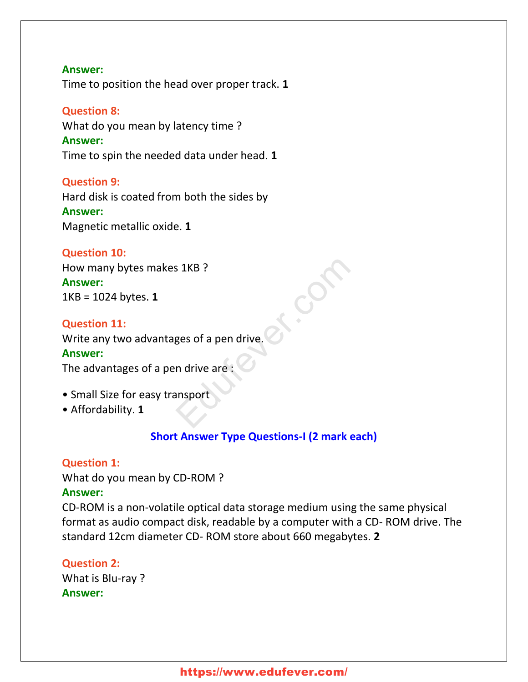# **Answer:** Time to position the head over proper track. **1**

**Question 8:** What do you mean by latency time ? **Answer:** Time to spin the needed data under head. **1**

# **Question 9:**

Hard disk is coated from both the sides by **Answer:** Magnetic metallic oxide. **1**

## **Question 10:**

How many bytes makes 1KB ? **Answer:** 1KB = 1024 bytes. **1** S 1KB ?<br>ges of a pen drive.

## **Question 11:**

Write any two advantages of a pen drive.

## **Answer:**

The advantages of a pen drive are :

- Small Size for easy transport
- Affordability. **1**

# **Short Answer Type Questions-I (2 mark each)**

## **Question 1:**

What do you mean by CD-ROM ?

## **Answer:**

CD-ROM is a non-volatile optical data storage medium using the same physical format as audio compact disk, readable by a computer with a CD- ROM drive. The standard 12cm diameter CD- ROM store about 660 megabytes. **2**

# **Question 2:**

What is Blu-ray ? **Answer:**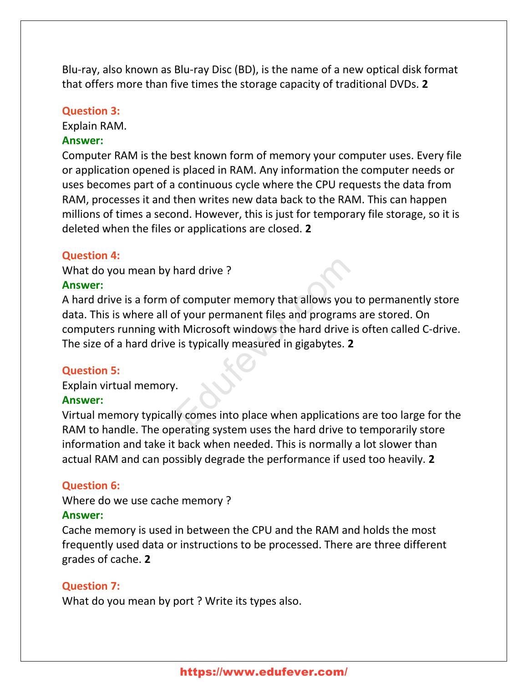Blu-ray, also known as Blu-ray Disc (BD), is the name of a new optical disk format that offers more than five times the storage capacity of traditional DVDs. **2**

## **Question 3:**

Explain RAM.

## **Answer:**

Computer RAM is the best known form of memory your computer uses. Every file or application opened is placed in RAM. Any information the computer needs or uses becomes part of a continuous cycle where the CPU requests the data from RAM, processes it and then writes new data back to the RAM. This can happen millions of times a second. However, this is just for temporary file storage, so it is deleted when the files or applications are closed. **2**

## **Question 4:**

What do you mean by hard drive ?

## **Answer:**

A hard drive is a form of computer memory that allows you to permanently store data. This is where all of your permanent files and programs are stored. On computers running with Microsoft windows the hard drive is often called C-drive. The size of a hard drive is typically measured in gigabytes. **2** hard drive ?<br>
f computer memory that allows you to<br>
f your permanent files and programs a<br>
h Microsoft windows the hard drive is<br>
is typically measured in gigabytes. 2<br>
Supply comes into place when applications

## **Question 5:**

Explain virtual memory.

#### **Answer:**

Virtual memory typically comes into place when applications are too large for the RAM to handle. The operating system uses the hard drive to temporarily store information and take it back when needed. This is normally a lot slower than actual RAM and can possibly degrade the performance if used too heavily. **2**

## **Question 6:**

Where do we use cache memory ?

#### **Answer:**

Cache memory is used in between the CPU and the RAM and holds the most frequently used data or instructions to be processed. There are three different grades of cache. **2**

### **Question 7:**

What do you mean by port ? Write its types also.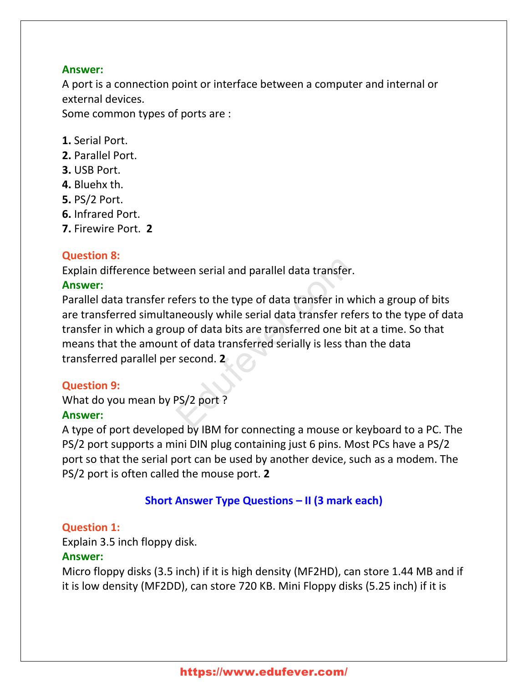# **Answer:**

A port is a connection point or interface between a computer and internal or external devices.

Some common types of ports are :

- **1.** Serial Port.
- **2.** Parallel Port.
- **3.** USB Port.
- **4.** Bluehx th.
- **5.** PS/2 Port.
- **6.** Infrared Port.
- **7.** Firewire Port. **2**

# **Question 8:**

Explain difference between serial and parallel data transfer.

# **Answer:**

Parallel data transfer refers to the type of data transfer in which a group of bits are transferred simultaneously while serial data transfer refers to the type of data transfer in which a group of data bits are transferred one bit at a time. So that means that the amount of data transferred serially is less than the data transferred parallel per second. **2** Express to the type of data transfer.<br>
Express to the type of data transfer in wh<br>
neously while serial data transfer refer<br>
up of data bits are transferred one bit at<br>
t of data transferred serially is less than<br>
second.

# **Question 9:**

What do you mean by PS/2 port ? **Answer:**

A type of port developed by IBM for connecting a mouse or keyboard to a PC. The PS/2 port supports a mini DIN plug containing just 6 pins. Most PCs have a PS/2 port so that the serial port can be used by another device, such as a modem. The PS/2 port is often called the mouse port. **2**

# **Short Answer Type Questions – II (3 mark each)**

# **Question 1:**

Explain 3.5 inch floppy disk.

# **Answer:**

Micro floppy disks (3.5 inch) if it is high density (MF2HD), can store 1.44 MB and if it is low density (MF2DD), can store 720 KB. Mini Floppy disks (5.25 inch) if it is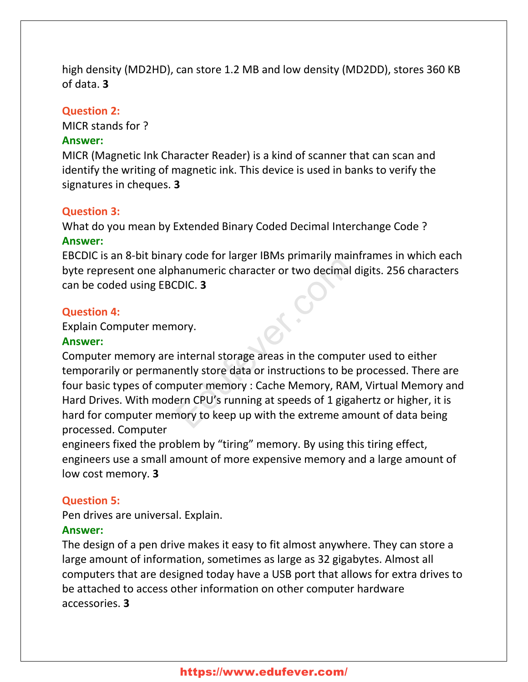high density (MD2HD), can store 1.2 MB and low density (MD2DD), stores 360 KB of data. **3**

## **Question 2:**

MICR stands for ?

## **Answer:**

MICR (Magnetic Ink Character Reader) is a kind of scanner that can scan and identify the writing of magnetic ink. This device is used in banks to verify the signatures in cheques. **3**

## **Question 3:**

What do you mean by Extended Binary Coded Decimal Interchange Code ? **Answer:**

EBCDIC is an 8-bit binary code for larger IBMs primarily mainframes in which each byte represent one alphanumeric character or two decimal digits. 256 characters can be coded using EBCDIC. **3**

## **Question 4:**

Explain Computer memory.

## **Answer:**

Computer memory are internal storage areas in the computer used to either temporarily or permanently store data or instructions to be processed. There are four basic types of computer memory : Cache Memory, RAM, Virtual Memory and Hard Drives. With modern CPU's running at speeds of 1 gigahertz or higher, it is hard for computer memory to keep up with the extreme amount of data being processed. Computer Solution and the computer of two decimal different or two decimal different character or two decimal differently.<br>
The computer of two decimal differently store data or instructions to be p<br>
puter memory : Cache Memory, RA

engineers fixed the problem by "tiring" memory. By using this tiring effect, engineers use a small amount of more expensive memory and a large amount of low cost memory. **3**

## **Question 5:**

Pen drives are universal. Explain.

## **Answer:**

The design of a pen drive makes it easy to fit almost anywhere. They can store a large amount of information, sometimes as large as 32 gigabytes. Almost all computers that are designed today have a USB port that allows for extra drives to be attached to access other information on other computer hardware accessories. **3**